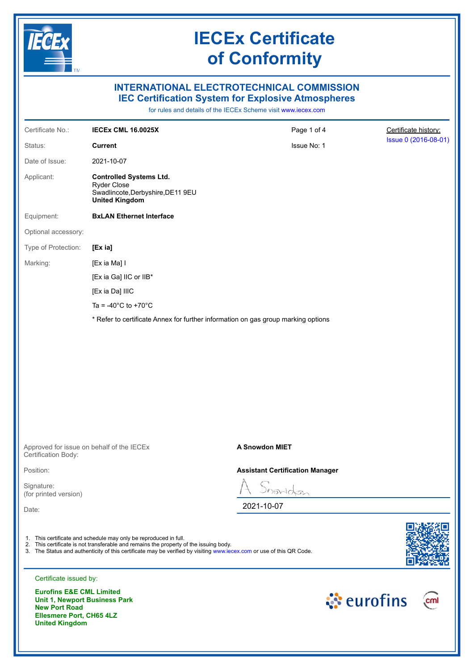

## **IECEx Certificate of Conformity**

## **INTERNATIONAL ELECTROTECHNICAL COMMISSION IEC Certification System for Explosive Atmospheres**

for rules and details of the IECEx Scheme visit [www.iecex.com](https://www.iecex.com)

| Certificate No.:                                                                                    | <b>IECEX CML 16.0025X</b>                                                                                                                                                                                                                                                         | Page 1 of 4                                                                       | Certificate history: |
|-----------------------------------------------------------------------------------------------------|-----------------------------------------------------------------------------------------------------------------------------------------------------------------------------------------------------------------------------------------------------------------------------------|-----------------------------------------------------------------------------------|----------------------|
| Status:                                                                                             | <b>Current</b>                                                                                                                                                                                                                                                                    | Issue No: 1                                                                       | Issue 0 (2016-08-01) |
| Date of Issue:                                                                                      | 2021-10-07                                                                                                                                                                                                                                                                        |                                                                                   |                      |
| Applicant:                                                                                          | <b>Controlled Systems Ltd.</b><br><b>Ryder Close</b><br>Swadlincote, Derbyshire, DE11 9EU<br><b>United Kingdom</b>                                                                                                                                                                |                                                                                   |                      |
| Equipment:                                                                                          | <b>BxLAN Ethernet Interface</b>                                                                                                                                                                                                                                                   |                                                                                   |                      |
| Optional accessory:                                                                                 |                                                                                                                                                                                                                                                                                   |                                                                                   |                      |
| Type of Protection:                                                                                 | [Ex ia]                                                                                                                                                                                                                                                                           |                                                                                   |                      |
| Marking:                                                                                            | [Ex ia Ma] I                                                                                                                                                                                                                                                                      |                                                                                   |                      |
|                                                                                                     | [Ex ia Ga] IIC or IIB*                                                                                                                                                                                                                                                            |                                                                                   |                      |
|                                                                                                     | [Ex ia Da] IIIC                                                                                                                                                                                                                                                                   |                                                                                   |                      |
|                                                                                                     | Ta = -40 $^{\circ}$ C to +70 $^{\circ}$ C                                                                                                                                                                                                                                         |                                                                                   |                      |
|                                                                                                     |                                                                                                                                                                                                                                                                                   | * Refer to certificate Annex for further information on gas group marking options |                      |
|                                                                                                     |                                                                                                                                                                                                                                                                                   |                                                                                   |                      |
| Certification Body:                                                                                 | Approved for issue on behalf of the IECEx                                                                                                                                                                                                                                         | <b>A Snowdon MIET</b>                                                             |                      |
| Position:                                                                                           |                                                                                                                                                                                                                                                                                   | <b>Assistant Certification Manager</b>                                            |                      |
| Signature:<br>(for printed version)                                                                 |                                                                                                                                                                                                                                                                                   | Snowdon                                                                           |                      |
| Date:                                                                                               |                                                                                                                                                                                                                                                                                   | 2021-10-07                                                                        |                      |
|                                                                                                     | 1. This certificate and schedule may only be reproduced in full.<br>2. This certificate is not transferable and remains the property of the issuing body.<br>3. The Status and authenticity of this certificate may be verified by visiting www.iecex.com or use of this QR Code. |                                                                                   |                      |
| Certificate issued by:                                                                              |                                                                                                                                                                                                                                                                                   |                                                                                   |                      |
| <b>Eurofins E&amp;E CML Limited</b><br><b>Unit 1, Newport Business Park</b><br><b>New Port Road</b> |                                                                                                                                                                                                                                                                                   |                                                                                   | ं eurofins<br>cml    |

**New Port Road Ellesmere Port, CH65 4LZ United Kingdom**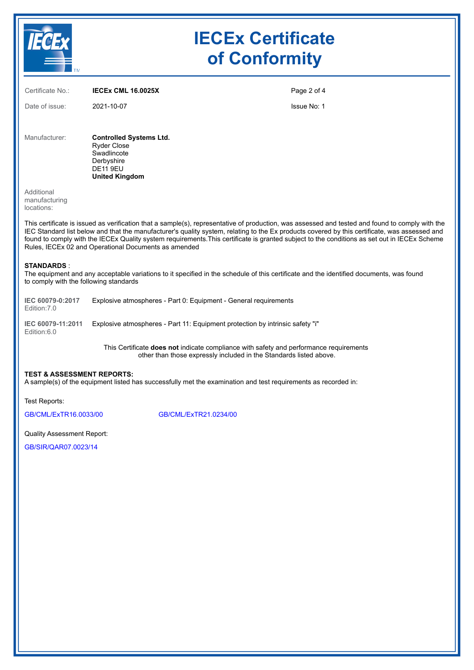

The equipment and any acceptable variations to it specified in the schedule of this certificate and the identified documents, was found to comply with the following standards

| IEC 60079-0:2017<br>Edition: 7.0 | Explosive atmospheres - Part 0: Equipment - General requirements              |
|----------------------------------|-------------------------------------------------------------------------------|
| IEC 60079-11:2011<br>Edition:6.0 | Explosive atmospheres - Part 11: Equipment protection by intrinsic safety "i" |

This Certificate **does not** indicate compliance with safety and performance requirements other than those expressly included in the Standards listed above.

#### **TEST & ASSESSMENT REPORTS:**

A sample(s) of the equipment listed has successfully met the examination and test requirements as recorded in:

Test Reports:

[GB/CML/ExTR16.0033/00](https://www.iecex-certs.com/#/deliverables/REPORT/21038/view) [GB/CML/ExTR21.0234/00](https://www.iecex-certs.com/#/deliverables/REPORT/78096/view)

Quality Assessment Report:

[GB/SIR/QAR07.0023/14](https://www.iecex-certs.com/#/deliverables/REPORT/77306/view)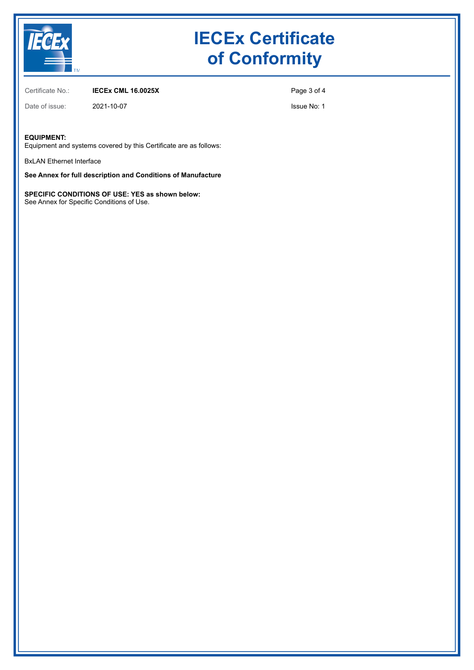

# **IECEx Certificate of Conformity**

Certificate No.: **IECEx CML 16.0025X**

Page 3 of 4

Date of issue: 2021-10-07

Issue No: 1

### **EQUIPMENT:**

Equipment and systems covered by this Certificate are as follows:

BxLAN Ethernet Interface

**See Annex for full description and Conditions of Manufacture**

**SPECIFIC CONDITIONS OF USE: YES as shown below:** See Annex for Specific Conditions of Use.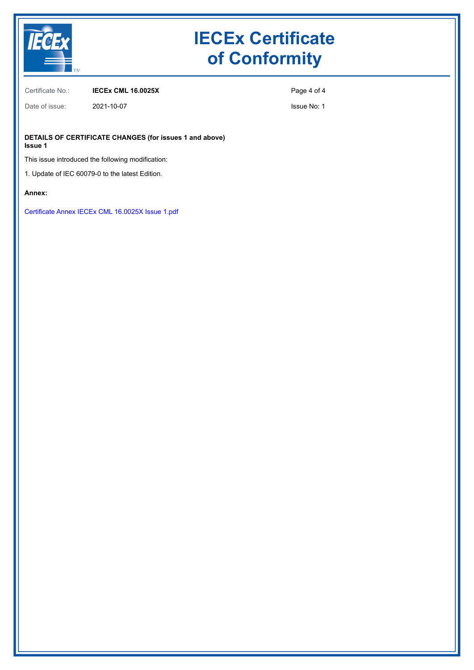

# **IECEx Certificate of Conformity**

Certificate No.: **IECEx CML 16.0025X**

Page 4 of 4

Issue No: 1

**DETAILS OF CERTIFICATE CHANGES (for issues 1 and above) Issue 1**

This issue introduced the following modification:

1. Update of IEC 60079-0 to the latest Edition.

Date of issue: 2021-10-07

### **Annex:**

[Certificate Annex IECEx CML 16.0025X Issue 1.pdf](https://www.iecex-certs.com/#/deliverables/CERT/57198/view)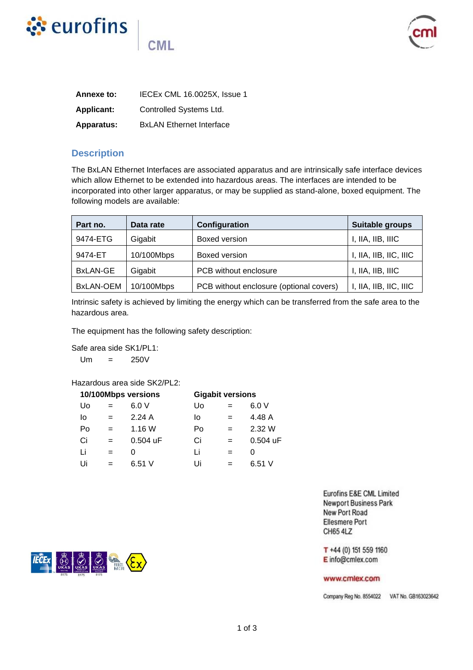



| Annexe to:        | IECEx CML 16.0025X, Issue 1     |
|-------------------|---------------------------------|
| <b>Applicant:</b> | Controlled Systems Ltd.         |
| <b>Apparatus:</b> | <b>BxLAN</b> Ethernet Interface |

**CML** 

## **Description**

The BxLAN Ethernet Interfaces are associated apparatus and are intrinsically safe interface devices which allow Ethernet to be extended into hazardous areas. The interfaces are intended to be incorporated into other larger apparatus, or may be supplied as stand-alone, boxed equipment. The following models are available:

| Part no.  | Data rate  | Configuration                           | Suitable groups        |
|-----------|------------|-----------------------------------------|------------------------|
| 9474-ETG  | Gigabit    | Boxed version                           | I, IIA, IIB, IIIC      |
| 9474-ET   | 10/100Mbps | Boxed version                           | I, IIA, IIB, IIC, IIIC |
| BxLAN-GE  | Gigabit    | PCB without enclosure                   | I, IIA, IIB, IIIC      |
| BxLAN-OEM | 10/100Mbps | PCB without enclosure (optional covers) | I, IIA, IIB, IIC, IIIC |

Intrinsic safety is achieved by limiting the energy which can be transferred from the safe area to the hazardous area.

The equipment has the following safety description:

Safe area side SK1/PL1:

 $Um = 250V$ 

Hazardous area side SK2/PL2:

| 10/100Mbps versions |     |            | <b>Gigabit versions</b> |     |          |
|---------------------|-----|------------|-------------------------|-----|----------|
| Uo                  | $=$ | 6.0V       | U٥                      |     | 6.0V     |
| lo                  | $=$ | 2.24A      | lo                      | $=$ | 4.48 A   |
| Po                  |     | 1.16W      | Po                      |     | 2.32 W   |
| Ci                  | $=$ | $0.504$ uF | Ci                      |     | 0.504 uF |
| Li                  |     | O          | Ιi                      |     | 0        |
| Ui                  |     | 6.51 V     | Ui                      |     | 6.51V    |

Eurofins E&E CML Limited **Newport Business Park** New Port Road **Ellesmere Port** CH65 4LZ

T +44 (0) 151 559 1160 E info@cmlex.com

#### www.cmlex.com

Company Reg No. 8554022 VAT No. GB163023642

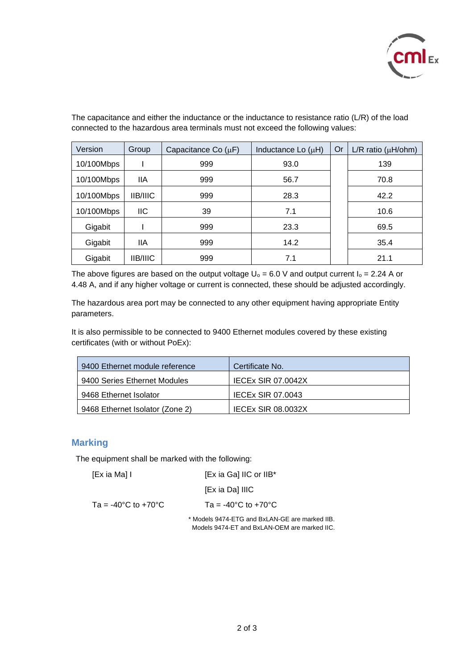

| Version    | Group           | Capacitance Co $(\mu F)$ | Inductance Lo $(\mu H)$ | Or | $L/R$ ratio ( $\mu H/bhm$ ) |
|------------|-----------------|--------------------------|-------------------------|----|-----------------------------|
| 10/100Mbps |                 | 999                      | 93.0                    |    | 139                         |
| 10/100Mbps | 11A             | 999                      | 56.7                    |    | 70.8                        |
| 10/100Mbps | <b>IIB/IIIC</b> | 999                      | 28.3                    |    | 42.2                        |
| 10/100Mbps | IIC.            | 39                       | 7.1                     |    | 10.6                        |
| Gigabit    |                 | 999                      | 23.3                    |    | 69.5                        |
| Gigabit    | 11A             | 999                      | 14.2                    |    | 35.4                        |
| Gigabit    | <b>IIB/IIIC</b> | 999                      | 7.1                     |    | 21.1                        |

The capacitance and either the inductance or the inductance to resistance ratio (L/R) of the load connected to the hazardous area terminals must not exceed the following values:

The above figures are based on the output voltage  $U_0 = 6.0$  V and output current  $I_0 = 2.24$  A or 4.48 A, and if any higher voltage or current is connected, these should be adjusted accordingly.

The hazardous area port may be connected to any other equipment having appropriate Entity parameters.

It is also permissible to be connected to 9400 Ethernet modules covered by these existing certificates (with or without PoEx):

| 9400 Ethernet module reference  | Certificate No.           |
|---------------------------------|---------------------------|
| 9400 Series Ethernet Modules    | <b>IECEX SIR 07.0042X</b> |
| 9468 Ethernet Isolator          | <b>IECEx SIR 07.0043</b>  |
| 9468 Ethernet Isolator (Zone 2) | <b>IECEX SIR 08.0032X</b> |

### **Marking**

The equipment shall be marked with the following:

| [Ex ia Ma] I                              | [Ex ia Ga] IIC or IIB*                    |
|-------------------------------------------|-------------------------------------------|
|                                           | [Ex ia Da] IIIC                           |
| Ta = -40 $^{\circ}$ C to +70 $^{\circ}$ C | Ta = -40 $^{\circ}$ C to +70 $^{\circ}$ C |

\* Models 9474-ETG and BxLAN-GE are marked IIB. Models 9474-ET and BxLAN-OEM are marked IIC.